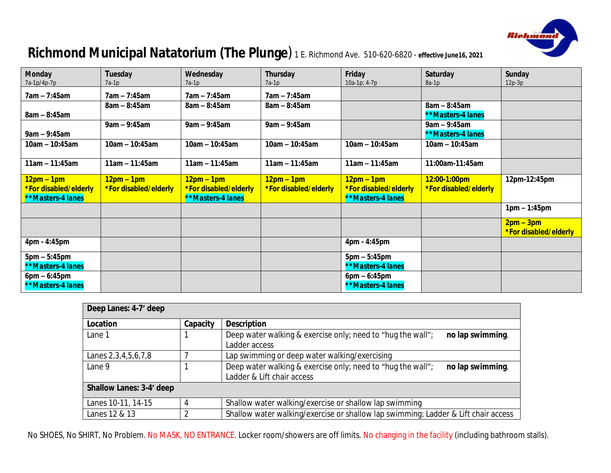

# **Richmond Municipal Natatorium (The Plunge**) *1 E. Richmond Ave. 510-620-6820 -* **effective June16, 2021**

| <b>Monday</b><br>7a-1p/4p-7p                               | <b>Tuesday</b><br>7a-1p               | Wednesday<br>7a-1p                                                | Thursday<br>7a-1p                     | Friday<br>10a-1p; 4-7p                                     | Saturday<br>$8a-1p$                         | <b>Sunday</b><br>$12p-3p$            |
|------------------------------------------------------------|---------------------------------------|-------------------------------------------------------------------|---------------------------------------|------------------------------------------------------------|---------------------------------------------|--------------------------------------|
| 7am – 7:45am                                               | $7am - 7:45am$                        | 7am – 7:45am                                                      | $7am - 7:45am$                        |                                                            |                                             |                                      |
| $8am - 8:45am$                                             | $8am - 8:45am$                        | $8am - 8:45am$                                                    | $8am - 8:45am$                        |                                                            | $8am - 8:45am$<br><b>**Masters-4 lanes</b>  |                                      |
| $9am - 9:45am$                                             | $9am - 9:45am$                        | $9am - 9:45am$                                                    | $9am - 9:45am$                        |                                                            | $9$ am – 9:45am<br><b>**Masters-4 lanes</b> |                                      |
| 10am - 10:45am                                             | $10am - 10:45am$                      | $10am - 10:45am$                                                  | $10am - 10:45am$                      | $10am - 10:45am$                                           | $10am - 10:45am$                            |                                      |
| $11am - 11:45am$                                           | $11am - 11:45am$                      | $11am - 11:45am$                                                  | $11am - 11:45am$                      | $11am - 11:45am$                                           | 11:00am-11:45am                             |                                      |
| $12pm - 1pm$<br>*For disabled/elderly<br>**Masters-4 lanes | $12pm - 1pm$<br>*For disabled/elderly | $12pm - 1pm$<br>*For disabled/elderly<br><b>**Masters-4 lanes</b> | $12pm - 1pm$<br>*For disabled/elderly | $12pm - 1pm$<br>*For disabled/elderly<br>**Masters-4 lanes | 12:00-1:00pm<br>*For disabled/elderly       | 12pm-12:45pm                         |
|                                                            |                                       |                                                                   |                                       |                                                            |                                             | $1pm - 1:45pm$                       |
|                                                            |                                       |                                                                   |                                       |                                                            |                                             | $2pm - 3pm$<br>*For disabled/elderly |
| 4pm - 4:45pm                                               |                                       |                                                                   |                                       | 4pm - 4:45pm                                               |                                             |                                      |
| $5pm - 5:45pm$<br>*Masters-4 lanes                         |                                       |                                                                   |                                       | $5pm - 5:45pm$<br><b>**Masters-4 lanes</b>                 |                                             |                                      |
| $6pm - 6:45pm$<br>**Masters-4 lanes                        |                                       |                                                                   |                                       | $6pm - 6:45pm$<br><b>**Masters-4 lanes</b>                 |                                             |                                      |

| Deep Lanes: 4-7' deep     |          |                                                                                    |  |  |
|---------------------------|----------|------------------------------------------------------------------------------------|--|--|
| Location                  | Capacity | <b>Description</b>                                                                 |  |  |
| Lane 1                    |          | Deep water walking & exercise only; need to "hug the wall";<br>no lap swimming.    |  |  |
|                           |          | Ladder access                                                                      |  |  |
| Lanes 2, 3, 4, 5, 6, 7, 8 |          | Lap swimming or deep water walking/exercising                                      |  |  |
| Lane 9                    |          | Deep water walking & exercise only; need to "hug the wall";<br>no lap swimming.    |  |  |
|                           |          | Ladder & Lift chair access                                                         |  |  |
| Shallow Lanes: 3-4' deep  |          |                                                                                    |  |  |
| Lanes 10-11, 14-15        |          | Shallow water walking/exercise or shallow lap swimming                             |  |  |
| Lanes 12 & 13             |          | Shallow water walking/exercise or shallow lap swimming; Ladder & Lift chair access |  |  |

No SHOES, No SHIRT, No Problem. No MASK, NO ENTRANCE. Locker room/showers are off limits. No changing in the facility (including bathroom stalls).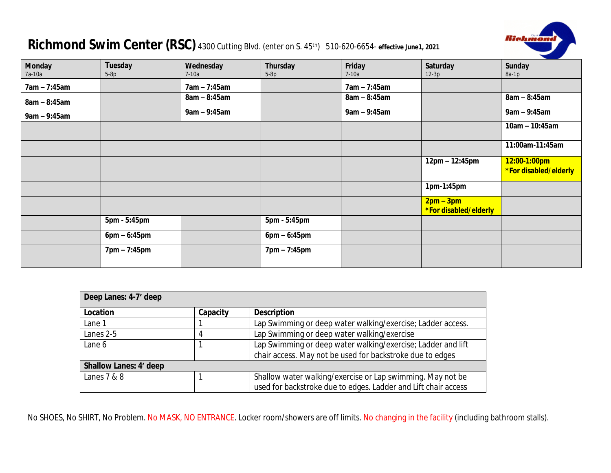## **Richmond Swim Center (RSC)** *4300 Cutting Blvd. (enter on S. 45th) 510-620-6654-* **effective June1, 2021**



| <b>Monday</b>  | <b>Tuesday</b> | Wednesday      | Thursday       | Friday         | Saturday                           | <b>Sunday</b>                         |
|----------------|----------------|----------------|----------------|----------------|------------------------------------|---------------------------------------|
| 7a-10a         | $5-8p$         | $7-10a$        | $5-8p$         | $7-10a$        | $12-3p$                            | $8a-1p$                               |
| $7am - 7:45am$ |                | $7am - 7:45am$ |                | 7am - 7:45am   |                                    |                                       |
| $8am - 8:45am$ |                | $8am - 8:45am$ |                | $8am - 8:45am$ |                                    | $8am - 8:45am$                        |
| $9am - 9:45am$ |                | $9am - 9:45am$ |                | $9am - 9:45am$ |                                    | $9$ am – $9:45$ am                    |
|                |                |                |                |                |                                    | $10am - 10:45am$                      |
|                |                |                |                |                |                                    | 11:00am-11:45am                       |
|                |                |                |                |                | $12pm - 12:45pm$                   | 12:00-1:00pm<br>*For disabled/elderly |
|                |                |                |                |                | 1pm-1:45pm                         |                                       |
|                |                |                |                |                | $2pm-3pm$<br>*For disabled/elderly |                                       |
|                | 5pm - 5:45pm   |                | 5pm - 5:45pm   |                |                                    |                                       |
|                | $6pm - 6:45pm$ |                | $6pm - 6:45pm$ |                |                                    |                                       |
|                | 7pm - 7:45pm   |                | 7pm - 7:45pm   |                |                                    |                                       |

| Deep Lanes: 4-7' deep         |          |                                                                |  |
|-------------------------------|----------|----------------------------------------------------------------|--|
| Location                      | Capacity | <b>Description</b>                                             |  |
| Lane 1                        |          | Lap Swimming or deep water walking/exercise; Ladder access.    |  |
| Lanes 2-5                     | 4        | Lap Swimming or deep water walking/exercise                    |  |
| Lane 6                        |          | Lap Swimming or deep water walking/exercise; Ladder and lift   |  |
|                               |          | chair access. May not be used for backstroke due to edges      |  |
| <b>Shallow Lanes: 4' deep</b> |          |                                                                |  |
| Lanes $7 & 8$                 |          | Shallow water walking/exercise or Lap swimming. May not be     |  |
|                               |          | used for backstroke due to edges. Ladder and Lift chair access |  |

No SHOES, No SHIRT, No Problem. No MASK, NO ENTRANCE. Locker room/showers are off limits. No changing in the facility (including bathroom stalls).